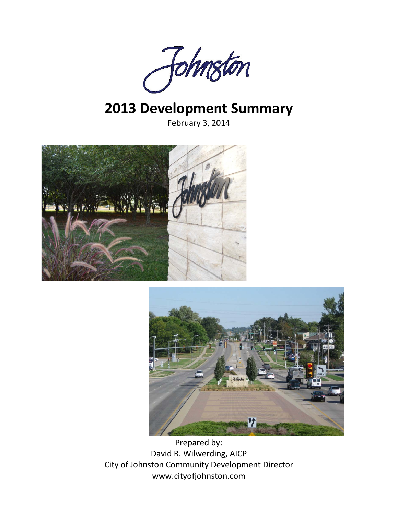

# **2013 Development Summary**

February 3, 2014





Prepared by: David R. Wilwerding, AICP City of Johnston Community Development Director www.cityofjohnston.com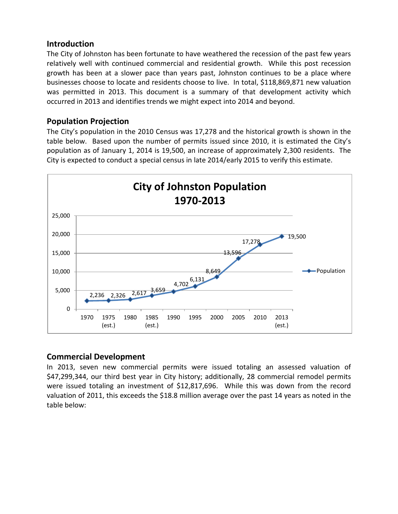## **Introduction**

The City of Johnston has been fortunate to have weathered the recession of the past few years relatively well with continued commercial and residential growth. While this post recession growth has been at a slower pace than years past, Johnston continues to be a place where businesses choose to locate and residents choose to live. In total, \$118,869,871 new valuation was permitted in 2013. This document is a summary of that development activity which occurred in 2013 and identifies trends we might expect into 2014 and beyond.

## **Population Projection**

The City's population in the 2010 Census was 17,278 and the historical growth is shown in the table below. Based upon the number of permits issued since 2010, it is estimated the City's population as of January 1, 2014 is 19,500, an increase of approximately 2,300 residents. The City is expected to conduct a special census in late 2014/early 2015 to verify this estimate.



### **Commercial Development**

In 2013, seven new commercial permits were issued totaling an assessed valuation of \$47,299,344, our third best year in City history; additionally, 28 commercial remodel permits were issued totaling an investment of \$12,817,696. While this was down from the record valuation of 2011, this exceeds the \$18.8 million average over the past 14 years as noted in the table below: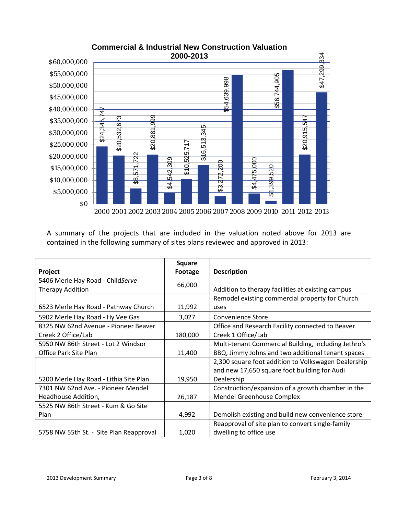

|                                                                                  | 2000-2013                                                                             |                                                                       |  |  |
|----------------------------------------------------------------------------------|---------------------------------------------------------------------------------------|-----------------------------------------------------------------------|--|--|
| \$60,000,000                                                                     |                                                                                       | \$47,299,334                                                          |  |  |
| \$55,000,000                                                                     |                                                                                       | 905                                                                   |  |  |
| \$50,000,000                                                                     |                                                                                       |                                                                       |  |  |
| \$45,000,000                                                                     |                                                                                       | \$54,639,998<br>\$56,744,9                                            |  |  |
| \$40,000,000<br>$\frac{1}{4}$                                                    |                                                                                       |                                                                       |  |  |
| 999<br>3<br>\$35,000,000<br>67                                                   | ю                                                                                     | 547                                                                   |  |  |
| \$24,345<br>532,<br>881<br>\$30,000,000                                          | र्लू                                                                                  | 5<br>$\overline{\delta}$                                              |  |  |
| \$20,<br>\$20,<br>\$25,000,000                                                   | ო<br>৯                                                                                | \$20,                                                                 |  |  |
| 722<br>\$20,000,000                                                              | ဖ<br>525,<br>क्र                                                                      |                                                                       |  |  |
| 571<br>\$15,000,000                                                              | 309<br>Õ<br>$\overline{\mathfrak{s}}$                                                 | 475,000<br>\$3,272,200<br>0<br>$\overline{\Omega}$                    |  |  |
| န္တ<br>\$10,000,000                                                              | 542,<br>ॳ.                                                                            | 399,                                                                  |  |  |
| \$5,000,000                                                                      |                                                                                       | $\mathfrak{A}$<br>↔                                                   |  |  |
| 80                                                                               |                                                                                       |                                                                       |  |  |
|                                                                                  |                                                                                       | 2000 2001 2002 2003 2004 2005 2006 2007 2008 2009 2010 2011 2012 2013 |  |  |
|                                                                                  |                                                                                       |                                                                       |  |  |
|                                                                                  | A summary of the projects that are included in the valuation noted above for 2013 are |                                                                       |  |  |
| contained in the following summary of sites plans reviewed and approved in 2013: |                                                                                       |                                                                       |  |  |
|                                                                                  |                                                                                       |                                                                       |  |  |
|                                                                                  |                                                                                       |                                                                       |  |  |
|                                                                                  | <b>Square</b>                                                                         |                                                                       |  |  |
| Project                                                                          | <b>Footage</b>                                                                        | <b>Description</b>                                                    |  |  |
| 5406 Merle Hay Road - ChildServe                                                 | 66,000                                                                                |                                                                       |  |  |
| Therapy Addition                                                                 |                                                                                       | Addition to therapy facilities at existing campus                     |  |  |
| 6523 Merle Hay Road - Pathway Church                                             | 11,992                                                                                | Remodel existing commercial property for Church<br>uses               |  |  |
| 5902 Merle Hay Road - Hy Vee Gas                                                 | 3,027                                                                                 | <b>Convenience Store</b>                                              |  |  |
| 8325 NW 62nd Avenue - Pioneer Beaver                                             |                                                                                       | Office and Research Facility connected to Beaver                      |  |  |
| Creek 2 Office/Lab                                                               | 180,000                                                                               | Creek 1 Office/Lab                                                    |  |  |
| 5950 NW 86th Street - Lot 2 Windsor                                              |                                                                                       | Multi-tenant Commercial Building, including Jethro's                  |  |  |
| Office Park Site Plan                                                            | 11,400                                                                                | BBQ, Jimmy Johns and two additional tenant spaces                     |  |  |
|                                                                                  |                                                                                       | 2,300 square foot addition to Volkswagen Dealership                   |  |  |
|                                                                                  |                                                                                       | and new 17,650 square foot building for Audi                          |  |  |
| 5200 Merle Hay Road - Lithia Site Plan                                           | 19,950                                                                                | Dealership                                                            |  |  |
| 7301 NW 62nd Ave. - Pioneer Mendel                                               |                                                                                       | Construction/expansion of a growth chamber in the                     |  |  |
| Headhouse Addition,                                                              | 26,187                                                                                | <b>Mendel Greenhouse Complex</b>                                      |  |  |
| 5525 NW 86th Street - Kum & Go Site                                              |                                                                                       |                                                                       |  |  |
| Plan                                                                             | 4,992                                                                                 | Demolish existing and build new convenience store                     |  |  |
|                                                                                  |                                                                                       | Reapproval of site plan to convert single-family                      |  |  |
| 5758 NW 55th St. - Site Plan Reapproval                                          | 1,020                                                                                 | dwelling to office use                                                |  |  |
|                                                                                  |                                                                                       |                                                                       |  |  |
|                                                                                  |                                                                                       |                                                                       |  |  |
|                                                                                  |                                                                                       |                                                                       |  |  |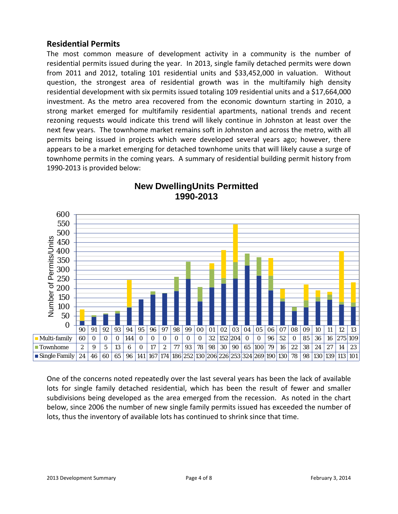## **Residential Permits**

The most common measure of development activity in a community is the number of residential permits issued during the year. In 2013, single family detached permits were down from 2011 and 2012, totaling 101 residential units and \$33,452,000 in valuation. Without question, the strongest area of residential growth was in the multifamily high density residential development with six permits issued totaling 109 residential units and a \$17,664,000 investment. As the metro area recovered from the economic downturn starting in 2010, a strong market emerged for multifamily residential apartments, national trends and recent rezoning requests would indicate this trend will likely continue in Johnston at least over the next few years. The townhome market remains soft in Johnston and across the metro, with all permits being issued in projects which were developed several years ago; however, there appears to be a market emerging for detached townhome units that will likely cause a surge of townhome permits in the coming years. A summary of residential building permit history from 1990-2013 is provided below:



# **New DwellingUnits Permitted 1990-2013**

One of the concerns noted repeatedly over the last several years has been the lack of available lots for single family detached residential, which has been the result of fewer and smaller subdivisions being developed as the area emerged from the recession. As noted in the chart below, since 2006 the number of new single family permits issued has exceeded the number of lots, thus the inventory of available lots has continued to shrink since that time.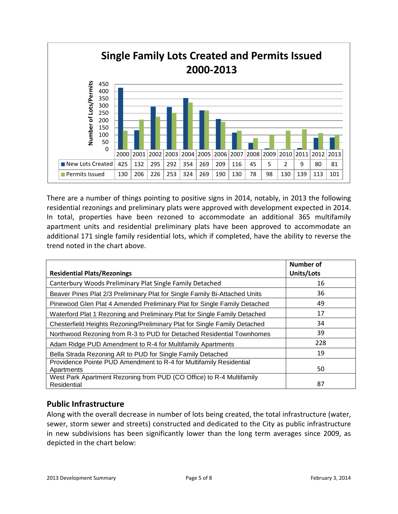

There are a number of things pointing to positive signs in 2014, notably, in 2013 the following residential rezonings and preliminary plats were approved with development expected in 2014. In total, properties have been rezoned to accommodate an additional 365 multifamily apartment units and residential preliminary plats have been approved to accommodate an additional 171 single family residential lots, which if completed, have the ability to reverse the trend noted in the chart above.

| <b>Residential Plats/Rezonings</b>                                         | Number of<br>Units/Lots |
|----------------------------------------------------------------------------|-------------------------|
| Canterbury Woods Preliminary Plat Single Family Detached                   | 16                      |
| Beaver Pines Plat 2/3 Preliminary Plat for Single Family Bi-Attached Units | 36                      |
| Pinewood Glen Plat 4 Amended Preliminary Plat for Single Family Detached   | 49                      |
| Waterford Plat 1 Rezoning and Preliminary Plat for Single Family Detached  | 17                      |
| Chesterfield Heights Rezoning/Preliminary Plat for Single Family Detached  | 34                      |
| Northwood Rezoning from R-3 to PUD for Detached Residential Townhomes      | 39                      |
| Adam Ridge PUD Amendment to R-4 for Multifamily Apartments                 | 228                     |
| Bella Strada Rezoning AR to PUD for Single Family Detached                 | 19                      |
| Providence Pointe PUD Amendment to R-4 for Multifamily Residential         |                         |
| Apartments                                                                 | 50                      |
| West Park Apartment Rezoning from PUD (CO Office) to R-4 Multifamily       |                         |
| Residential                                                                | 87                      |

# **Public Infrastructure**

Along with the overall decrease in number of lots being created, the total infrastructure (water, sewer, storm sewer and streets) constructed and dedicated to the City as public infrastructure in new subdivisions has been significantly lower than the long term averages since 2009, as depicted in the chart below: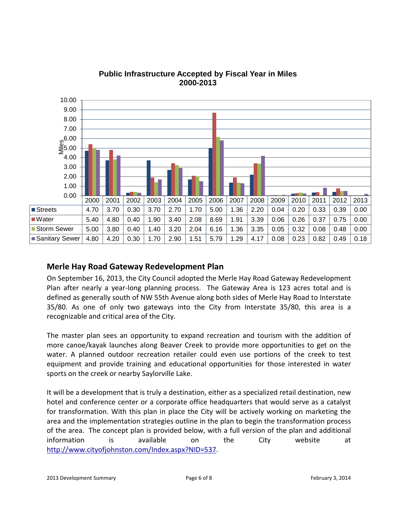

### **Public Infrastructure Accepted by Fiscal Year in Miles 2000-2013**

# **Merle Hay Road Gateway Redevelopment Plan**

On September 16, 2013, the City Council adopted the Merle Hay Road Gateway Redevelopment Plan after nearly a year-long planning process. The Gateway Area is 123 acres total and is defined as generally south of NW 55th Avenue along both sides of Merle Hay Road to Interstate 35/80. As one of only two gateways into the City from Interstate 35/80, this area is a recognizable and critical area of the City.

The master plan sees an opportunity to expand recreation and tourism with the addition of more canoe/kayak launches along Beaver Creek to provide more opportunities to get on the water. A planned outdoor recreation retailer could even use portions of the creek to test equipment and provide training and educational opportunities for those interested in water sports on the creek or nearby Saylorville Lake.

It will be a development that is truly a destination, either as a specialized retail destination, new hotel and conference center or a corporate office headquarters that would serve as a catalyst for transformation. With this plan in place the City will be actively working on marketing the area and the implementation strategies outline in the plan to begin the transformation process of the area. The concept plan is provided below, with a full version of the plan and additional information is available on the City website at [http://www.cityofjohnston.com/Index.aspx?NID=537.](http://www.cityofjohnston.com/Index.aspx?NID=537)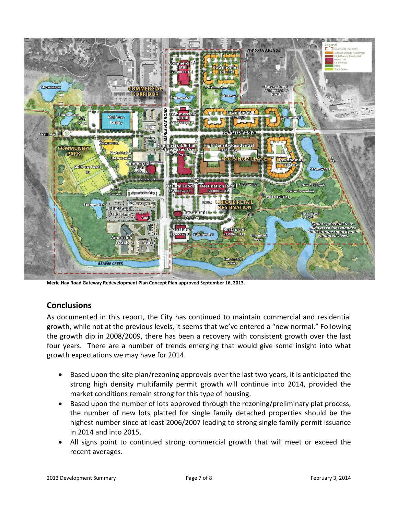

**Merle Hay Road Gateway Redevelopment Plan Concept Plan approved September 16, 2013.**

# **Conclusions**

As documented in this report, the City has continued to maintain commercial and residential growth, while not at the previous levels, it seems that we've entered a "new normal." Following the growth dip in 2008/2009, there has been a recovery with consistent growth over the last four years. There are a number of trends emerging that would give some insight into what growth expectations we may have for 2014.

- Based upon the site plan/rezoning approvals over the last two years, it is anticipated the strong high density multifamily permit growth will continue into 2014, provided the market conditions remain strong for this type of housing.
- Based upon the number of lots approved through the rezoning/preliminary plat process, the number of new lots platted for single family detached properties should be the highest number since at least 2006/2007 leading to strong single family permit issuance in 2014 and into 2015.
- All signs point to continued strong commercial growth that will meet or exceed the recent averages.